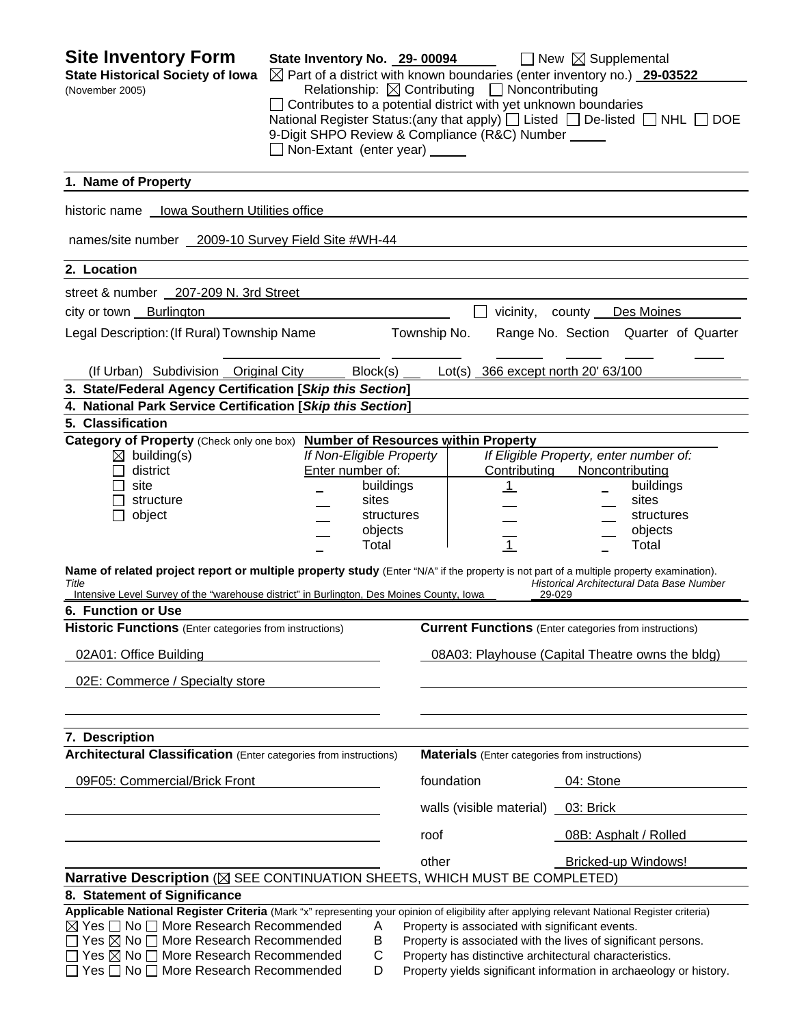| <b>Site Inventory Form</b><br><b>State Historical Society of Iowa</b><br>(November 2005)                                                                                                                                                                            | State Inventory No. 29-00094<br>Non-Extant (enter year) _____ |                          | Relationship: $\boxtimes$ Contributing $\Box$ Noncontributing<br>$\Box$ Contributes to a potential district with yet unknown boundaries<br>9-Digit SHPO Review & Compliance (R&C) Number _____ | $\Box$ New $\boxtimes$ Supplemental<br>$\boxtimes$ Part of a district with known boundaries (enter inventory no.) 29-03522<br>National Register Status: (any that apply) $\Box$ Listed $\Box$ De-listed $\Box$ NHL $\Box$ DOE |
|---------------------------------------------------------------------------------------------------------------------------------------------------------------------------------------------------------------------------------------------------------------------|---------------------------------------------------------------|--------------------------|------------------------------------------------------------------------------------------------------------------------------------------------------------------------------------------------|-------------------------------------------------------------------------------------------------------------------------------------------------------------------------------------------------------------------------------|
| 1. Name of Property                                                                                                                                                                                                                                                 |                                                               |                          |                                                                                                                                                                                                |                                                                                                                                                                                                                               |
| historic name  lowa Southern Utilities office                                                                                                                                                                                                                       |                                                               |                          |                                                                                                                                                                                                |                                                                                                                                                                                                                               |
| names/site number 2009-10 Survey Field Site #WH-44                                                                                                                                                                                                                  |                                                               |                          |                                                                                                                                                                                                |                                                                                                                                                                                                                               |
| 2. Location                                                                                                                                                                                                                                                         |                                                               |                          |                                                                                                                                                                                                |                                                                                                                                                                                                                               |
| street & number 207-209 N. 3rd Street                                                                                                                                                                                                                               |                                                               |                          |                                                                                                                                                                                                |                                                                                                                                                                                                                               |
| city or town Burlington                                                                                                                                                                                                                                             |                                                               |                          | vicinity,                                                                                                                                                                                      | Des Moines<br>county                                                                                                                                                                                                          |
| Legal Description: (If Rural) Township Name                                                                                                                                                                                                                         |                                                               | Township No.             |                                                                                                                                                                                                | Range No. Section Quarter of Quarter                                                                                                                                                                                          |
| (If Urban) Subdivision Original City                                                                                                                                                                                                                                |                                                               | Block(s)                 | Lot(s) 366 except north 20' 63/100                                                                                                                                                             |                                                                                                                                                                                                                               |
| 3. State/Federal Agency Certification [Skip this Section]                                                                                                                                                                                                           |                                                               |                          |                                                                                                                                                                                                |                                                                                                                                                                                                                               |
| 4. National Park Service Certification [Skip this Section]                                                                                                                                                                                                          |                                                               |                          |                                                                                                                                                                                                |                                                                                                                                                                                                                               |
| 5. Classification                                                                                                                                                                                                                                                   |                                                               |                          |                                                                                                                                                                                                |                                                                                                                                                                                                                               |
| Category of Property (Check only one box) Number of Resources within Property                                                                                                                                                                                       |                                                               |                          |                                                                                                                                                                                                |                                                                                                                                                                                                                               |
| $\boxtimes$ building(s)                                                                                                                                                                                                                                             |                                                               | If Non-Eligible Property |                                                                                                                                                                                                | If Eligible Property, enter number of:                                                                                                                                                                                        |
| district                                                                                                                                                                                                                                                            | Enter number of:                                              |                          | Contributing                                                                                                                                                                                   | Noncontributing                                                                                                                                                                                                               |
| site                                                                                                                                                                                                                                                                |                                                               | buildings<br>sites       | $\mathbf{1}$                                                                                                                                                                                   | buildings<br>sites                                                                                                                                                                                                            |
| structure                                                                                                                                                                                                                                                           |                                                               |                          |                                                                                                                                                                                                |                                                                                                                                                                                                                               |
| object                                                                                                                                                                                                                                                              |                                                               | structures               |                                                                                                                                                                                                | structures                                                                                                                                                                                                                    |
|                                                                                                                                                                                                                                                                     |                                                               | objects<br>Total         | $\overline{1}$                                                                                                                                                                                 | objects<br>Total                                                                                                                                                                                                              |
| Name of related project report or multiple property study (Enter "N/A" if the property is not part of a multiple property examination).<br>Title<br>Intensive Level Survey of the "warehouse district" in Burlington, Des Moines County, Iowa<br>6. Function or Use |                                                               |                          |                                                                                                                                                                                                | Historical Architectural Data Base Number<br>29-029                                                                                                                                                                           |
| <b>Historic Functions</b> (Enter categories from instructions)                                                                                                                                                                                                      |                                                               |                          |                                                                                                                                                                                                | <b>Current Functions</b> (Enter categories from instructions)                                                                                                                                                                 |
| 02A01: Office Building                                                                                                                                                                                                                                              |                                                               |                          |                                                                                                                                                                                                | 08A03: Playhouse (Capital Theatre owns the bldg)                                                                                                                                                                              |
| 02E: Commerce / Specialty store                                                                                                                                                                                                                                     |                                                               |                          |                                                                                                                                                                                                |                                                                                                                                                                                                                               |
| 7. Description                                                                                                                                                                                                                                                      |                                                               |                          |                                                                                                                                                                                                |                                                                                                                                                                                                                               |
| <b>Architectural Classification</b> (Enter categories from instructions)                                                                                                                                                                                            |                                                               |                          | <b>Materials</b> (Enter categories from instructions)                                                                                                                                          |                                                                                                                                                                                                                               |
| 09F05: Commercial/Brick Front                                                                                                                                                                                                                                       |                                                               |                          | foundation                                                                                                                                                                                     | 04: Stone                                                                                                                                                                                                                     |
|                                                                                                                                                                                                                                                                     |                                                               |                          | walls (visible material) _                                                                                                                                                                     | 03: Brick                                                                                                                                                                                                                     |
|                                                                                                                                                                                                                                                                     |                                                               | roof                     |                                                                                                                                                                                                | 08B: Asphalt / Rolled                                                                                                                                                                                                         |
|                                                                                                                                                                                                                                                                     |                                                               | other                    |                                                                                                                                                                                                | Bricked-up Windows!                                                                                                                                                                                                           |
| Narrative Description ( $\boxtimes$ SEE CONTINUATION SHEETS, WHICH MUST BE COMPLETED)                                                                                                                                                                               |                                                               |                          |                                                                                                                                                                                                |                                                                                                                                                                                                                               |
| 8. Statement of Significance                                                                                                                                                                                                                                        |                                                               |                          |                                                                                                                                                                                                |                                                                                                                                                                                                                               |
| Applicable National Register Criteria (Mark "x" representing your opinion of eligibility after applying relevant National Register criteria)                                                                                                                        |                                                               |                          |                                                                                                                                                                                                |                                                                                                                                                                                                                               |
| ⊠ Yes <sup>1</sup> No <sup>1</sup> More Research Recommended                                                                                                                                                                                                        |                                                               | A                        | Property is associated with significant events.                                                                                                                                                |                                                                                                                                                                                                                               |
| $\Box$ Yes $\boxtimes$ No $\Box$ More Research Recommended                                                                                                                                                                                                          |                                                               | Β                        |                                                                                                                                                                                                | Property is associated with the lives of significant persons.                                                                                                                                                                 |
| $\Box$ Yes $\boxtimes$ No $\Box$ More Research Recommended                                                                                                                                                                                                          |                                                               | С                        |                                                                                                                                                                                                | Property has distinctive architectural characteristics.                                                                                                                                                                       |
| Yes □ No □ More Research Recommended                                                                                                                                                                                                                                |                                                               | D                        |                                                                                                                                                                                                | Property yields significant information in archaeology or history.                                                                                                                                                            |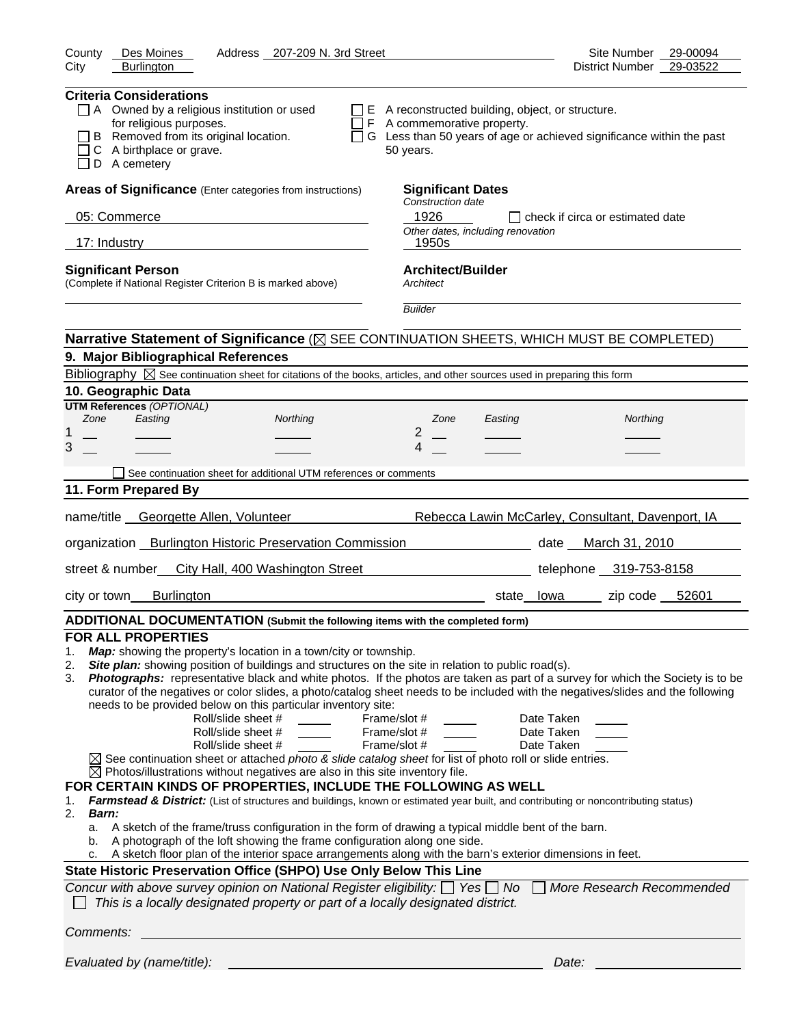| County<br>Des Moines<br>Address 207-209 N. 3rd Street                                                                                                                                                                                                                                                                                                                                                                                                                                                                                                                                                                                                                                                                                                                                                                                                                                                                                                                                                                                                                                                                                                                                                                                                                                                                                                                                                                                                                                                                                                                                                                                                                                                                                                           | Site Number<br>29-00094                                                |
|-----------------------------------------------------------------------------------------------------------------------------------------------------------------------------------------------------------------------------------------------------------------------------------------------------------------------------------------------------------------------------------------------------------------------------------------------------------------------------------------------------------------------------------------------------------------------------------------------------------------------------------------------------------------------------------------------------------------------------------------------------------------------------------------------------------------------------------------------------------------------------------------------------------------------------------------------------------------------------------------------------------------------------------------------------------------------------------------------------------------------------------------------------------------------------------------------------------------------------------------------------------------------------------------------------------------------------------------------------------------------------------------------------------------------------------------------------------------------------------------------------------------------------------------------------------------------------------------------------------------------------------------------------------------------------------------------------------------------------------------------------------------|------------------------------------------------------------------------|
| City<br><b>Burlington</b>                                                                                                                                                                                                                                                                                                                                                                                                                                                                                                                                                                                                                                                                                                                                                                                                                                                                                                                                                                                                                                                                                                                                                                                                                                                                                                                                                                                                                                                                                                                                                                                                                                                                                                                                       | 29-03522<br>District Number                                            |
| <b>Criteria Considerations</b><br>$\Box$ A Owned by a religious institution or used<br>$\Box$ E A reconstructed building, object, or structure.<br>for religious purposes.<br>$\Box$ F A commemorative property.<br>B Removed from its original location.<br>C A birthplace or grave.<br>50 years.<br>D A cemetery                                                                                                                                                                                                                                                                                                                                                                                                                                                                                                                                                                                                                                                                                                                                                                                                                                                                                                                                                                                                                                                                                                                                                                                                                                                                                                                                                                                                                                              | □ G Less than 50 years of age or achieved significance within the past |
| Areas of Significance (Enter categories from instructions)<br><b>Significant Dates</b>                                                                                                                                                                                                                                                                                                                                                                                                                                                                                                                                                                                                                                                                                                                                                                                                                                                                                                                                                                                                                                                                                                                                                                                                                                                                                                                                                                                                                                                                                                                                                                                                                                                                          |                                                                        |
| Construction date<br>1926<br>05: Commerce                                                                                                                                                                                                                                                                                                                                                                                                                                                                                                                                                                                                                                                                                                                                                                                                                                                                                                                                                                                                                                                                                                                                                                                                                                                                                                                                                                                                                                                                                                                                                                                                                                                                                                                       | $\Box$ check if circa or estimated date                                |
| Other dates, including renovation                                                                                                                                                                                                                                                                                                                                                                                                                                                                                                                                                                                                                                                                                                                                                                                                                                                                                                                                                                                                                                                                                                                                                                                                                                                                                                                                                                                                                                                                                                                                                                                                                                                                                                                               |                                                                        |
| 17: Industry<br>1950s                                                                                                                                                                                                                                                                                                                                                                                                                                                                                                                                                                                                                                                                                                                                                                                                                                                                                                                                                                                                                                                                                                                                                                                                                                                                                                                                                                                                                                                                                                                                                                                                                                                                                                                                           |                                                                        |
| <b>Architect/Builder</b><br><b>Significant Person</b><br>(Complete if National Register Criterion B is marked above)<br>Architect<br><b>Builder</b>                                                                                                                                                                                                                                                                                                                                                                                                                                                                                                                                                                                                                                                                                                                                                                                                                                                                                                                                                                                                                                                                                                                                                                                                                                                                                                                                                                                                                                                                                                                                                                                                             |                                                                        |
|                                                                                                                                                                                                                                                                                                                                                                                                                                                                                                                                                                                                                                                                                                                                                                                                                                                                                                                                                                                                                                                                                                                                                                                                                                                                                                                                                                                                                                                                                                                                                                                                                                                                                                                                                                 |                                                                        |
| Narrative Statement of Significance ( $\boxtimes$ SEE CONTINUATION SHEETS, WHICH MUST BE COMPLETED)                                                                                                                                                                                                                                                                                                                                                                                                                                                                                                                                                                                                                                                                                                                                                                                                                                                                                                                                                                                                                                                                                                                                                                                                                                                                                                                                                                                                                                                                                                                                                                                                                                                             |                                                                        |
| 9. Major Bibliographical References<br>Bibliography $\boxtimes$ See continuation sheet for citations of the books, articles, and other sources used in preparing this form                                                                                                                                                                                                                                                                                                                                                                                                                                                                                                                                                                                                                                                                                                                                                                                                                                                                                                                                                                                                                                                                                                                                                                                                                                                                                                                                                                                                                                                                                                                                                                                      |                                                                        |
| 10. Geographic Data                                                                                                                                                                                                                                                                                                                                                                                                                                                                                                                                                                                                                                                                                                                                                                                                                                                                                                                                                                                                                                                                                                                                                                                                                                                                                                                                                                                                                                                                                                                                                                                                                                                                                                                                             |                                                                        |
| <b>UTM References (OPTIONAL)</b>                                                                                                                                                                                                                                                                                                                                                                                                                                                                                                                                                                                                                                                                                                                                                                                                                                                                                                                                                                                                                                                                                                                                                                                                                                                                                                                                                                                                                                                                                                                                                                                                                                                                                                                                |                                                                        |
| Zone<br>Easting<br>Northing<br>Zone<br>Easting<br>2<br>1                                                                                                                                                                                                                                                                                                                                                                                                                                                                                                                                                                                                                                                                                                                                                                                                                                                                                                                                                                                                                                                                                                                                                                                                                                                                                                                                                                                                                                                                                                                                                                                                                                                                                                        | Northing                                                               |
| 3<br>4                                                                                                                                                                                                                                                                                                                                                                                                                                                                                                                                                                                                                                                                                                                                                                                                                                                                                                                                                                                                                                                                                                                                                                                                                                                                                                                                                                                                                                                                                                                                                                                                                                                                                                                                                          |                                                                        |
| See continuation sheet for additional UTM references or comments                                                                                                                                                                                                                                                                                                                                                                                                                                                                                                                                                                                                                                                                                                                                                                                                                                                                                                                                                                                                                                                                                                                                                                                                                                                                                                                                                                                                                                                                                                                                                                                                                                                                                                |                                                                        |
| 11. Form Prepared By                                                                                                                                                                                                                                                                                                                                                                                                                                                                                                                                                                                                                                                                                                                                                                                                                                                                                                                                                                                                                                                                                                                                                                                                                                                                                                                                                                                                                                                                                                                                                                                                                                                                                                                                            |                                                                        |
|                                                                                                                                                                                                                                                                                                                                                                                                                                                                                                                                                                                                                                                                                                                                                                                                                                                                                                                                                                                                                                                                                                                                                                                                                                                                                                                                                                                                                                                                                                                                                                                                                                                                                                                                                                 |                                                                        |
| name/title Georgette Allen, Volunteer                                                                                                                                                                                                                                                                                                                                                                                                                                                                                                                                                                                                                                                                                                                                                                                                                                                                                                                                                                                                                                                                                                                                                                                                                                                                                                                                                                                                                                                                                                                                                                                                                                                                                                                           | Rebecca Lawin McCarley, Consultant, Davenport, IA                      |
| organization Burlington Historic Preservation Commission<br><u>and the second second second second</u> second second second second second second second second second second second                                                                                                                                                                                                                                                                                                                                                                                                                                                                                                                                                                                                                                                                                                                                                                                                                                                                                                                                                                                                                                                                                                                                                                                                                                                                                                                                                                                                                                                                                                                                                                             | March 31, 2010                                                         |
| street & number_ City Hall, 400 Washington Street                                                                                                                                                                                                                                                                                                                                                                                                                                                                                                                                                                                                                                                                                                                                                                                                                                                                                                                                                                                                                                                                                                                                                                                                                                                                                                                                                                                                                                                                                                                                                                                                                                                                                                               | telephone 319-753-8158                                                 |
| <b>Burlington</b><br>city or town                                                                                                                                                                                                                                                                                                                                                                                                                                                                                                                                                                                                                                                                                                                                                                                                                                                                                                                                                                                                                                                                                                                                                                                                                                                                                                                                                                                                                                                                                                                                                                                                                                                                                                                               | zip code 52601<br>state lowa                                           |
| ADDITIONAL DOCUMENTATION (Submit the following items with the completed form)                                                                                                                                                                                                                                                                                                                                                                                                                                                                                                                                                                                                                                                                                                                                                                                                                                                                                                                                                                                                                                                                                                                                                                                                                                                                                                                                                                                                                                                                                                                                                                                                                                                                                   |                                                                        |
| <b>FOR ALL PROPERTIES</b><br>Map: showing the property's location in a town/city or township.<br>1.<br>Site plan: showing position of buildings and structures on the site in relation to public road(s).<br>2.<br>Photographs: representative black and white photos. If the photos are taken as part of a survey for which the Society is to be<br>3.<br>curator of the negatives or color slides, a photo/catalog sheet needs to be included with the negatives/slides and the following<br>needs to be provided below on this particular inventory site:<br>Roll/slide sheet #<br>Frame/slot #<br>$\overline{\phantom{a}}$<br>Roll/slide sheet #<br>Frame/slot #<br>Roll/slide sheet #<br>Frame/slot #<br>$\boxtimes$ See continuation sheet or attached photo & slide catalog sheet for list of photo roll or slide entries.<br>$\boxtimes$ Photos/illustrations without negatives are also in this site inventory file.<br>FOR CERTAIN KINDS OF PROPERTIES, INCLUDE THE FOLLOWING AS WELL<br>Farmstead & District: (List of structures and buildings, known or estimated year built, and contributing or noncontributing status)<br>1.<br>2.<br>Barn:<br>a. A sketch of the frame/truss configuration in the form of drawing a typical middle bent of the barn.<br>A photograph of the loft showing the frame configuration along one side.<br>b.<br>A sketch floor plan of the interior space arrangements along with the barn's exterior dimensions in feet.<br>с.<br>State Historic Preservation Office (SHPO) Use Only Below This Line<br>Concur with above survey opinion on National Register eligibility: $\Box$ Yes $\Box$ No $\Box$ More Research Recommended<br>This is a locally designated property or part of a locally designated district. | Date Taken<br>Date Taken<br>Date Taken                                 |
| Comments:                                                                                                                                                                                                                                                                                                                                                                                                                                                                                                                                                                                                                                                                                                                                                                                                                                                                                                                                                                                                                                                                                                                                                                                                                                                                                                                                                                                                                                                                                                                                                                                                                                                                                                                                                       |                                                                        |
| Evaluated by (name/title):                                                                                                                                                                                                                                                                                                                                                                                                                                                                                                                                                                                                                                                                                                                                                                                                                                                                                                                                                                                                                                                                                                                                                                                                                                                                                                                                                                                                                                                                                                                                                                                                                                                                                                                                      | Date:                                                                  |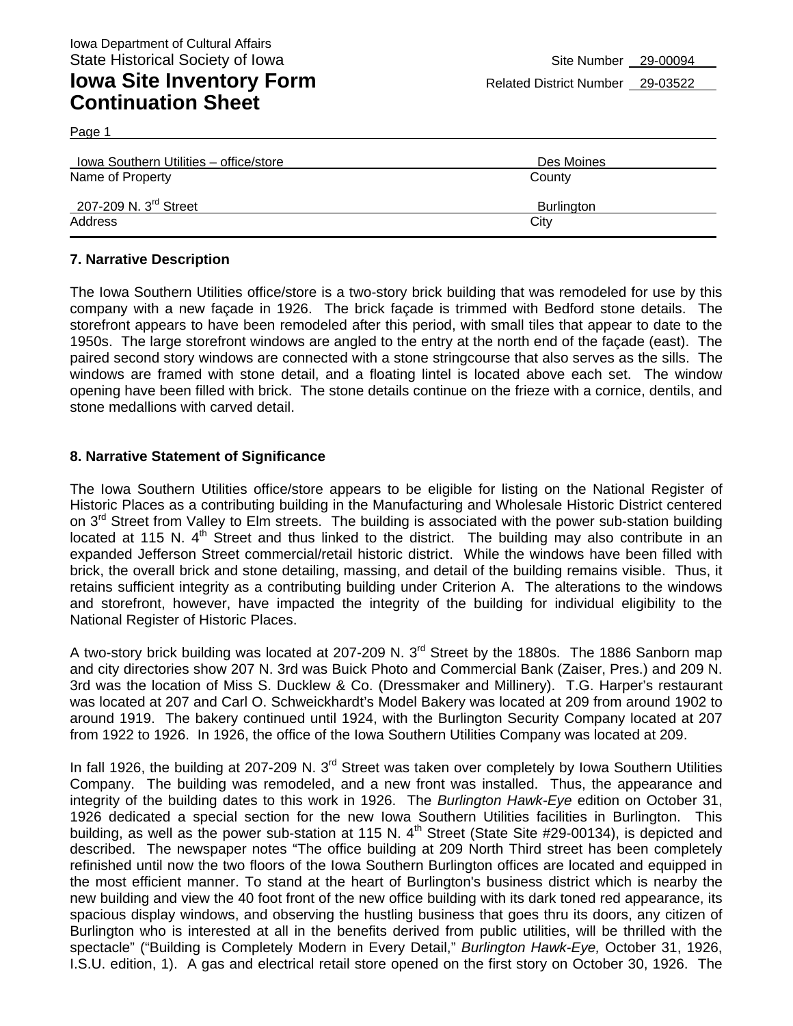Page 1

| Iowa Southern Utilities - office/store | Des Moines |
|----------------------------------------|------------|
| Name of Property                       | County     |
| 207-209 N. 3 <sup>rd</sup> Street      | Burlington |
| Address                                | City       |

### **7. Narrative Description**

The Iowa Southern Utilities office/store is a two-story brick building that was remodeled for use by this company with a new façade in 1926. The brick façade is trimmed with Bedford stone details. The storefront appears to have been remodeled after this period, with small tiles that appear to date to the 1950s. The large storefront windows are angled to the entry at the north end of the façade (east). The paired second story windows are connected with a stone stringcourse that also serves as the sills. The windows are framed with stone detail, and a floating lintel is located above each set. The window opening have been filled with brick. The stone details continue on the frieze with a cornice, dentils, and stone medallions with carved detail.

### **8. Narrative Statement of Significance**

The Iowa Southern Utilities office/store appears to be eligible for listing on the National Register of Historic Places as a contributing building in the Manufacturing and Wholesale Historic District centered on 3<sup>rd</sup> Street from Valley to Elm streets. The building is associated with the power sub-station building located at 115 N. 4<sup>th</sup> Street and thus linked to the district. The building may also contribute in an expanded Jefferson Street commercial/retail historic district. While the windows have been filled with brick, the overall brick and stone detailing, massing, and detail of the building remains visible. Thus, it retains sufficient integrity as a contributing building under Criterion A. The alterations to the windows and storefront, however, have impacted the integrity of the building for individual eligibility to the National Register of Historic Places.

A two-story brick building was located at 207-209 N. 3<sup>rd</sup> Street by the 1880s. The 1886 Sanborn map and city directories show 207 N. 3rd was Buick Photo and Commercial Bank (Zaiser, Pres.) and 209 N. 3rd was the location of Miss S. Ducklew & Co. (Dressmaker and Millinery). T.G. Harper's restaurant was located at 207 and Carl O. Schweickhardt's Model Bakery was located at 209 from around 1902 to around 1919. The bakery continued until 1924, with the Burlington Security Company located at 207 from 1922 to 1926. In 1926, the office of the Iowa Southern Utilities Company was located at 209.

In fall 1926, the building at 207-209 N. 3<sup>rd</sup> Street was taken over completely by Iowa Southern Utilities Company. The building was remodeled, and a new front was installed. Thus, the appearance and integrity of the building dates to this work in 1926. The *Burlington Hawk-Eye* edition on October 31, 1926 dedicated a special section for the new Iowa Southern Utilities facilities in Burlington. This building, as well as the power sub-station at 115 N.  $4<sup>th</sup>$  Street (State Site #29-00134), is depicted and described. The newspaper notes "The office building at 209 North Third street has been completely refinished until now the two floors of the Iowa Southern Burlington offices are located and equipped in the most efficient manner. To stand at the heart of Burlington's business district which is nearby the new building and view the 40 foot front of the new office building with its dark toned red appearance, its spacious display windows, and observing the hustling business that goes thru its doors, any citizen of Burlington who is interested at all in the benefits derived from public utilities, will be thrilled with the spectacle" ("Building is Completely Modern in Every Detail," *Burlington Hawk-Eye,* October 31, 1926, I.S.U. edition, 1). A gas and electrical retail store opened on the first story on October 30, 1926. The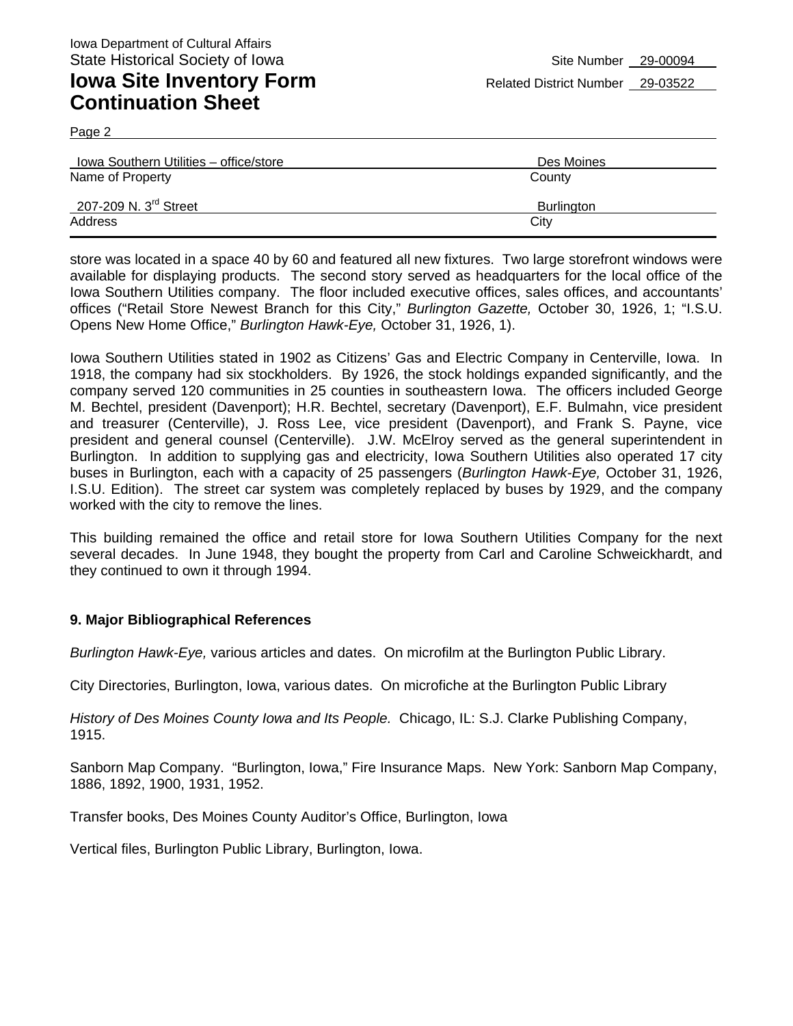Page 2

| Iowa Southern Utilities - office/store | Des Moines        |
|----------------------------------------|-------------------|
| Name of Property                       | County            |
| 207-209 N. 3 <sup>rd</sup> Street      | <b>Burlington</b> |
| Address                                | City              |

store was located in a space 40 by 60 and featured all new fixtures. Two large storefront windows were available for displaying products. The second story served as headquarters for the local office of the Iowa Southern Utilities company. The floor included executive offices, sales offices, and accountants' offices ("Retail Store Newest Branch for this City," *Burlington Gazette,* October 30, 1926, 1; "I.S.U. Opens New Home Office," *Burlington Hawk-Eye,* October 31, 1926, 1).

Iowa Southern Utilities stated in 1902 as Citizens' Gas and Electric Company in Centerville, Iowa. In 1918, the company had six stockholders. By 1926, the stock holdings expanded significantly, and the company served 120 communities in 25 counties in southeastern Iowa. The officers included George M. Bechtel, president (Davenport); H.R. Bechtel, secretary (Davenport), E.F. Bulmahn, vice president and treasurer (Centerville), J. Ross Lee, vice president (Davenport), and Frank S. Payne, vice president and general counsel (Centerville). J.W. McElroy served as the general superintendent in Burlington. In addition to supplying gas and electricity, Iowa Southern Utilities also operated 17 city buses in Burlington, each with a capacity of 25 passengers (*Burlington Hawk-Eye,* October 31, 1926, I.S.U. Edition). The street car system was completely replaced by buses by 1929, and the company worked with the city to remove the lines.

This building remained the office and retail store for Iowa Southern Utilities Company for the next several decades. In June 1948, they bought the property from Carl and Caroline Schweickhardt, and they continued to own it through 1994.

#### **9. Major Bibliographical References**

*Burlington Hawk-Eye,* various articles and dates. On microfilm at the Burlington Public Library.

City Directories, Burlington, Iowa, various dates. On microfiche at the Burlington Public Library

*History of Des Moines County Iowa and Its People.* Chicago, IL: S.J. Clarke Publishing Company, 1915.

Sanborn Map Company. "Burlington, Iowa," Fire Insurance Maps. New York: Sanborn Map Company, 1886, 1892, 1900, 1931, 1952.

Transfer books, Des Moines County Auditor's Office, Burlington, Iowa

Vertical files, Burlington Public Library, Burlington, Iowa.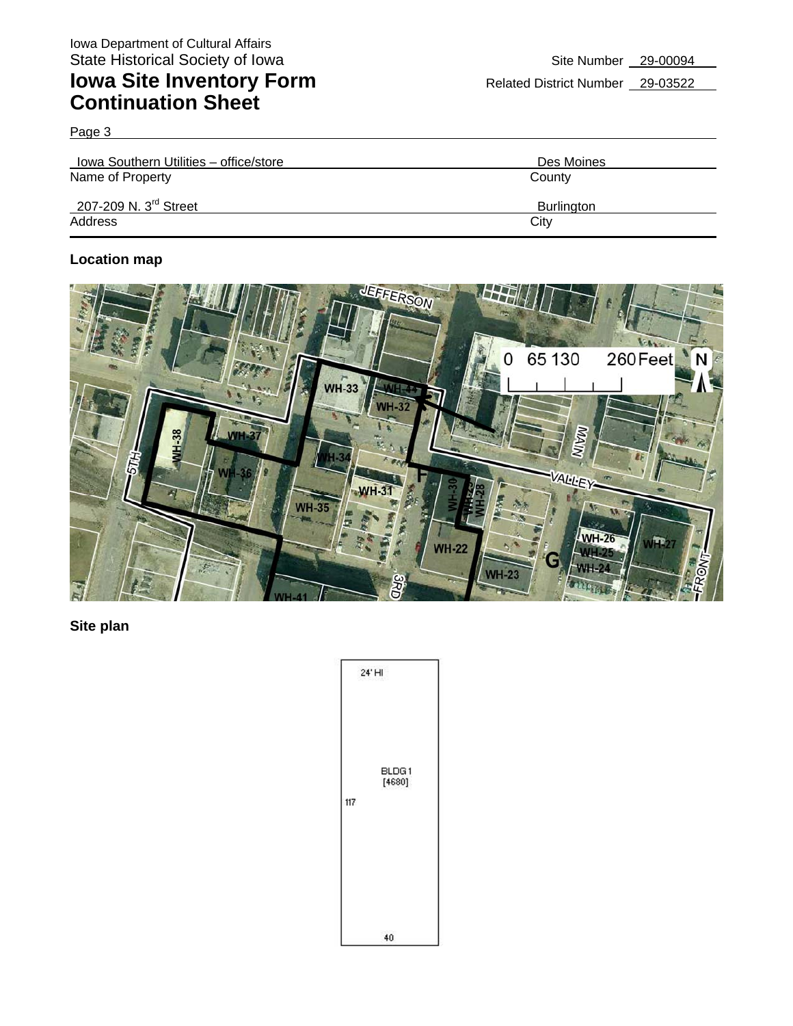Page 3

| Iowa Southern Utilities - office/store | Des Moines |
|----------------------------------------|------------|
| Name of Property                       | County     |
| 207-209 N. $3^{\text{rd}}$ Street      | Burlington |
| Address                                | City       |

### **Location map**



**Site plan** 

|     | 24' HI           |
|-----|------------------|
| 117 | BLDG 1<br>[4680] |
|     | 40               |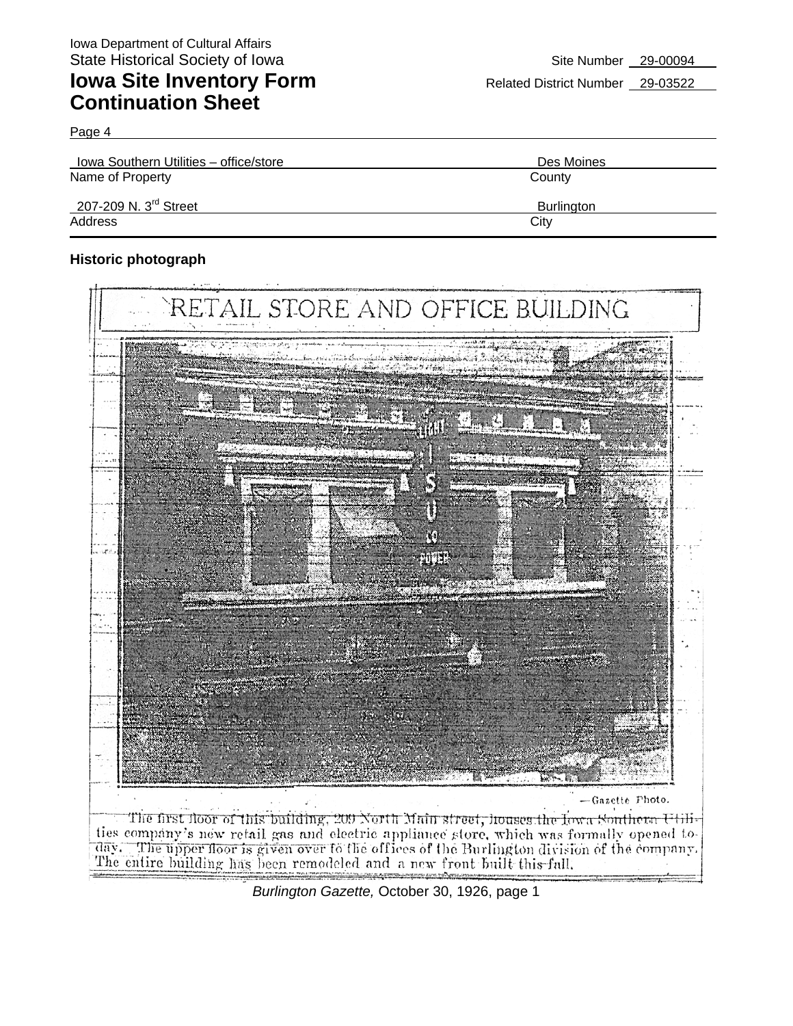Page 4

**Iowa Southern Utilities – office/store Des Moines** Des Moines Name of Property **County** County County County County 207-209 N. 3<sup>rd</sup> Street Burlington Address City **City Address** 

### **Historic photograph**



*Burlington Gazette,* October 30, 1926, page 1